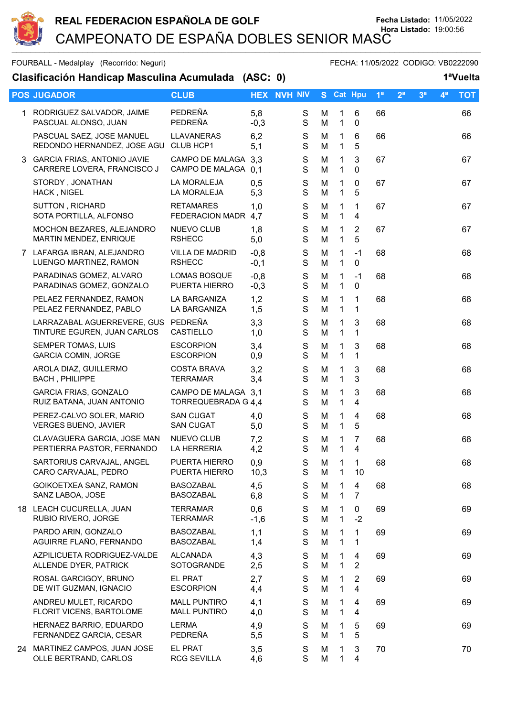

FOURBALL - Medalplay (Recorrido: Neguri) FECHA: 11/05/2022 CODIGO: VB0222090

## **Clasificación Handicap Masculina Acumulada (ASC: 0) 1ªVuelta**

| <b>POS JUGADOR</b>                                                 | <b>CLUB</b>                                   |                  | <b>HEX NVH NIV</b>           |        |                              | S Cat Hpu                    | 1 <sup>a</sup> | 2 <sup>a</sup> | 3 <sup>a</sup> | $4^a$ | <b>TOT</b> |
|--------------------------------------------------------------------|-----------------------------------------------|------------------|------------------------------|--------|------------------------------|------------------------------|----------------|----------------|----------------|-------|------------|
| 1 RODRIGUEZ SALVADOR, JAIME<br>PASCUAL ALONSO, JUAN                | PEDREÑA<br>PEDREÑA                            | 5,8<br>$-0,3$    | S<br>$\mathbf S$             | M<br>M | 1<br>$\mathbf{1}$            | 6<br>0                       | 66             |                |                |       | 66         |
| PASCUAL SAEZ, JOSE MANUEL<br>REDONDO HERNANDEZ, JOSE AGU CLUB HCP1 | LLAVANERAS                                    | 6,2<br>5,1       | $\mathbf S$<br>S             | M<br>M | $\mathbf{1}$<br>$\mathbf 1$  | $6\phantom{1}$<br>5          | 66             |                |                |       | 66         |
| 3 GARCIA FRIAS, ANTONIO JAVIE<br>CARRERE LOVERA, FRANCISCO J       | CAMPO DE MALAGA 3,3<br><b>CAMPO DE MALAGA</b> | 0,1              | ${\mathsf S}$<br>$\mathbf S$ | M<br>M | 1<br>$\mathbf 1$             | 3<br>$\mathbf{0}$            | 67             |                |                |       | 67         |
| STORDY, JONATHAN<br>HACK, NIGEL                                    | LA MORALEJA<br>LA MORALEJA                    | 0,5<br>5,3       | $\mathbf S$<br>$\mathbf S$   | M<br>M | 1<br>$\mathbf{1}$            | 0<br>5                       | 67             |                |                |       | 67         |
| SUTTON, RICHARD<br>SOTA PORTILLA, ALFONSO                          | <b>RETAMARES</b><br>FEDERACION MADR           | 1,0<br>4,7       | $\mathsf S$<br>$\mathbf S$   | M<br>M | 1<br>$\mathbf 1$             | 1<br>4                       | 67             |                |                |       | 67         |
| MOCHON BEZARES, ALEJANDRO<br>MARTIN MENDEZ, ENRIQUE                | NUEVO CLUB<br><b>RSHECC</b>                   | 1,8<br>5,0       | ${\mathsf S}$<br>$\mathbf S$ | M<br>M | 1<br>$\mathbf 1$             | $\overline{2}$<br>5          | 67             |                |                |       | 67         |
| 7 LAFARGA IBRAN, ALEJANDRO<br>LUENGO MARTINEZ, RAMON               | <b>VILLA DE MADRID</b><br><b>RSHECC</b>       | $-0,8$<br>$-0,1$ | S<br>S                       | M<br>M | $\mathbf 1$<br>1             | $-1$<br>0                    | 68             |                |                |       | 68         |
| PARADINAS GOMEZ, ALVARO<br>PARADINAS GOMEZ, GONZALO                | <b>LOMAS BOSQUE</b><br>PUERTA HIERRO          | $-0,8$<br>$-0,3$ | ${\mathsf S}$<br>$\mathbf S$ | M<br>M | 1<br>$\mathbf{1}$            | $-1$<br>$\mathbf 0$          | 68             |                |                |       | 68         |
| PELAEZ FERNANDEZ, RAMON<br>PELAEZ FERNANDEZ, PABLO                 | LA BARGANIZA<br>LA BARGANIZA                  | 1,2<br>1,5       | $\mathsf S$<br>S             | M<br>M | $\mathbf 1$<br>$\mathbf 1$   | $\mathbf 1$<br>1             | 68             |                |                |       | 68         |
| LARRAZABAL AGUERREVERE, GUS<br>TINTURE EGUREN, JUAN CARLOS         | PEDREÑA<br><b>CASTIELLO</b>                   | 3,3<br>1,0       | S<br>$\mathbf S$             | M<br>M | 1<br>$\mathbf{1}$            | $\mathbf{3}$<br>1            | 68             |                |                |       | 68         |
| SEMPER TOMAS, LUIS<br><b>GARCIA COMIN, JORGE</b>                   | <b>ESCORPION</b><br><b>ESCORPION</b>          | 3,4<br>0,9       | $\mathbb S$<br>S             | M<br>M | 1<br>1                       | 3<br>1                       | 68             |                |                |       | 68         |
| AROLA DIAZ, GUILLERMO<br><b>BACH, PHILIPPE</b>                     | <b>COSTA BRAVA</b><br><b>TERRAMAR</b>         | 3,2<br>3,4       | ${\mathsf S}$<br>S           | M<br>M | 1<br>$\mathbf{1}$            | $\mathbf{3}$<br>3            | 68             |                |                |       | 68         |
| <b>GARCIA FRIAS, GONZALO</b><br>RUIZ BATANA, JUAN ANTONIO          | CAMPO DE MALAGA 3.1<br>TORREQUEBRADA G 4.4    |                  | $\mathbf S$<br>S             | M<br>M | 1<br>$\mathbf{1}$            | $\mathbf{3}$<br>4            | 68             |                |                |       | 68         |
| PEREZ-CALVO SOLER, MARIO<br><b>VERGES BUENO, JAVIER</b>            | <b>SAN CUGAT</b><br><b>SAN CUGAT</b>          | 4,0<br>5,0       | S<br>S                       | M<br>M | 1<br>$\mathbf{1}$            | $\overline{4}$<br>5          | 68             |                |                |       | 68         |
| CLAVAGUERA GARCIA, JOSE MAN<br>PERTIERRA PASTOR, FERNANDO          | NUEVO CLUB<br>LA HERRERIA                     | 7,2<br>4,2       | ${\mathsf S}$<br>$\mathbf S$ | M<br>M | 1<br>$\mathbf{1}$            | 7<br>$\overline{4}$          | 68             |                |                |       | 68         |
| SARTORIUS CARVAJAL, ANGEL<br>CARO CARVAJAL, PEDRO                  | PUERTA HIERRO<br>PUERTA HIERRO                | 0,9<br>10,3      | S<br>S                       | М<br>м | $\mathbf{1}$<br>$\mathbf{1}$ | $\mathbf{1}$<br>10           | 68             |                |                |       | 68         |
| GOIKOETXEA SANZ, RAMON<br>SANZ LABOA, JOSE                         | <b>BASOZABAL</b><br><b>BASOZABAL</b>          | 4,5<br>6,8       | S<br>S                       | М<br>M | 1<br>$\mathbf{1}$            | $\overline{\mathbf{4}}$<br>7 | 68             |                |                |       | 68         |
| 18 LEACH CUCURELLA, JUAN<br>RUBIO RIVERO, JORGE                    | <b>TERRAMAR</b><br><b>TERRAMAR</b>            | 0,6<br>$-1,6$    | S<br>S                       | M<br>M | $\mathbf{1}$<br>$\mathbf 1$  | 0<br>$-2$                    | 69             |                |                |       | 69         |
| PARDO ARIN, GONZALO<br>AGUIRRE FLAÑO, FERNANDO                     | <b>BASOZABAL</b><br><b>BASOZABAL</b>          | 1,1<br>1,4       | S<br>S                       | М<br>M | 1<br>1                       | 1<br>1                       | 69             |                |                |       | 69         |
| AZPILICUETA RODRIGUEZ-VALDE<br>ALLENDE DYER, PATRICK               | <b>ALCANADA</b><br>SOTOGRANDE                 | 4,3<br>2,5       | S<br>S                       | М<br>M | 1<br>1                       | 4<br>$\overline{2}$          | 69             |                |                |       | 69         |
| ROSAL GARCIGOY, BRUNO<br>DE WIT GUZMAN, IGNACIO                    | EL PRAT<br><b>ESCORPION</b>                   | 2,7<br>4,4       | S<br>S                       | М<br>M | 1<br>1                       | 2<br>4                       | 69             |                |                |       | 69         |
| ANDREU MULET, RICARDO<br>FLORIT VICENS, BARTOLOME                  | <b>MALL PUNTIRO</b><br><b>MALL PUNTIRO</b>    | 4,1<br>4,0       | S<br>S                       | M<br>M | 1<br>$\mathbf 1$             | 4<br>4                       | 69             |                |                |       | 69         |
| HERNAEZ BARRIO, EDUARDO<br>FERNANDEZ GARCIA, CESAR                 | LERMA<br>PEDREÑA                              | 4,9<br>5,5       | S<br>S                       | М<br>M | 1<br>1                       | 5<br>5                       | 69             |                |                |       | 69         |
| 24 MARTINEZ CAMPOS, JUAN JOSE<br>OLLE BERTRAND, CARLOS             | EL PRAT<br><b>RCG SEVILLA</b>                 | 3,5<br>4,6       | S<br>S                       | М<br>M | 1<br>1                       | 3<br>4                       | 70             |                |                |       | 70         |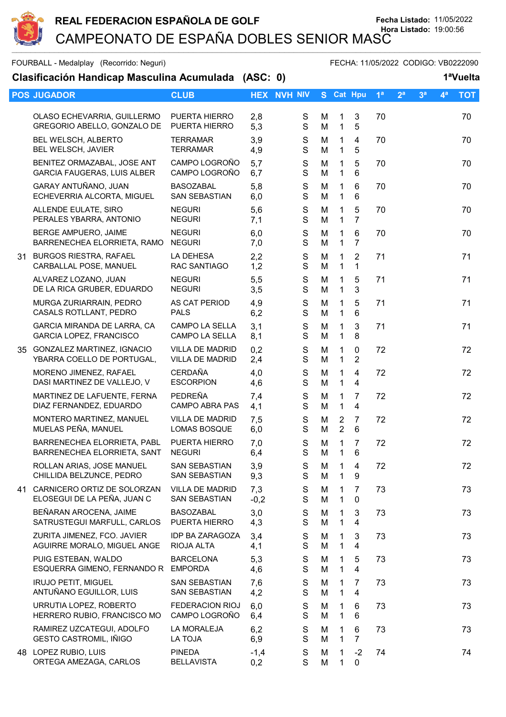

FOURBALL - Medalplay (Recorrido: Neguri) FECHA: 11/05/2022 CODIGO: VB0222090

| Clasificación Handicap Masculina Acumulada (ASC: 0)               |                                                  |               |                            |        |                                  |                               |                |                |                | 1ªVuelta       |            |
|-------------------------------------------------------------------|--------------------------------------------------|---------------|----------------------------|--------|----------------------------------|-------------------------------|----------------|----------------|----------------|----------------|------------|
| <b>POS JUGADOR</b>                                                | <b>CLUB</b>                                      |               | <b>HEX NVH NIV</b>         |        |                                  | S Cat Hpu                     | 1 <sup>a</sup> | 2 <sup>a</sup> | 3 <sup>a</sup> | 4 <sup>a</sup> | <b>TOT</b> |
| OLASO ECHEVARRIA, GUILLERMO<br>GREGORIO ABELLO, GONZALO DE        | PUERTA HIERRO<br>PUERTA HIERRO                   | 2,8<br>5,3    | S<br>${\mathsf S}$         | M<br>M | $\mathbf 1$<br>$\mathbf{1}$      | 3<br>5                        | 70             |                |                |                | 70         |
| BEL WELSCH, ALBERTO<br>BEL WELSCH, JAVIER                         | <b>TERRAMAR</b><br><b>TERRAMAR</b>               | 3,9<br>4,9    | S<br>S                     | M<br>M | 1<br>1                           | 4<br>5                        | 70             |                |                |                | 70         |
| BENITEZ ORMAZABAL, JOSE ANT<br><b>GARCIA FAUGERAS, LUIS ALBER</b> | CAMPO LOGROÑO<br>CAMPO LOGROÑO                   | 5,7<br>6,7    | $\mathbf S$<br>$\mathbf S$ | M<br>M | 1<br>1                           | 5<br>6                        | 70             |                |                |                | 70         |
| GARAY ANTUÑANO, JUAN<br>ECHEVERRIA ALCORTA, MIGUEL                | <b>BASOZABAL</b><br><b>SAN SEBASTIAN</b>         | 5,8<br>6,0    | $\mathbb S$<br>S           | M<br>M | 1<br>1                           | 6<br>6                        | 70             |                |                |                | 70         |
| ALLENDE EULATE, SIRO<br>PERALES YBARRA, ANTONIO                   | <b>NEGURI</b><br><b>NEGURI</b>                   | 5,6<br>7,1    | S<br>S                     | M<br>M | 1<br>$\mathbf 1$                 | 5<br>$\overline{7}$           | 70             |                |                |                | 70         |
| BERGE AMPUERO, JAIME<br>BARRENECHEA ELORRIETA, RAMO               | <b>NEGURI</b><br><b>NEGURI</b>                   | 6,0<br>7,0    | S<br>$\mathbf S$           | M<br>M | 1<br>$\mathbf{1}$                | 6<br>$\overline{7}$           | 70             |                |                |                | 70         |
| 31 BURGOS RIESTRA, RAFAEL<br>CARBALLAL POSE, MANUEL               | LA DEHESA<br>RAC SANTIAGO                        | 2,2<br>1,2    | ${\mathsf S}$<br>S         | M<br>M | $\mathbf 1$<br>$\mathbf 1$       | $\overline{2}$<br>1           | 71             |                |                |                | 71         |
| ALVAREZ LOZANO, JUAN<br>DE LA RICA GRUBER, EDUARDO                | <b>NEGURI</b><br><b>NEGURI</b>                   | 5,5<br>3,5    | $\mathbf S$<br>$\mathbf S$ | M<br>M | 1<br>$\mathbf{1}$                | 5<br>3                        | 71             |                |                |                | 71         |
| MURGA ZURIARRAIN, PEDRO<br>CASALS ROTLLANT, PEDRO                 | AS CAT PERIOD<br><b>PALS</b>                     | 4,9<br>6,2    | S<br>S                     | M<br>M | 1<br>1                           | 5<br>6                        | 71             |                |                |                | 71         |
| GARCIA MIRANDA DE LARRA, CA<br>GARCIA LOPEZ, FRANCISCO            | <b>CAMPO LA SELLA</b><br>CAMPO LA SELLA          | 3,1<br>8,1    | S<br>S                     | M<br>M | 1<br>$\mathbf{1}$                | 3<br>8                        | 71             |                |                |                | 71         |
| 35 GONZALEZ MARTINEZ, IGNACIO<br>YBARRA COELLO DE PORTUGAL,       | <b>VILLA DE MADRID</b><br><b>VILLA DE MADRID</b> | 0,2<br>2,4    | ${\mathsf S}$<br>S         | M<br>M | 1<br>1                           | 0<br>$\overline{2}$           | 72             |                |                |                | 72         |
| MORENO JIMENEZ, RAFAEL<br>DASI MARTINEZ DE VALLEJO, V             | <b>CERDAÑA</b><br><b>ESCORPION</b>               | 4,0<br>4,6    | $\mathbf S$<br>$\mathbf S$ | M<br>M | 1<br>$\mathbf 1$                 | 4<br>4                        | 72             |                |                |                | 72         |
| MARTINEZ DE LAFUENTE, FERNA<br>DIAZ FERNANDEZ, EDUARDO            | PEDREÑA<br><b>CAMPO ABRA PAS</b>                 | 7,4<br>4,1    | $\mathbb S$<br>S           | M<br>M | 1<br>$\mathbf{1}$                | 7<br>4                        | 72             |                |                |                | 72         |
| MONTERO MARTINEZ, MANUEL<br>MUELAS PEÑA, MANUEL                   | <b>VILLA DE MADRID</b><br>LOMAS BOSQUE           | 7,5<br>6,0    | S<br>${\mathsf S}$         | M<br>M | $\overline{2}$<br>$\overline{2}$ | 7<br>6                        | 72             |                |                |                | 72         |
| BARRENECHEA ELORRIETA, PABL<br>BARRENECHEA ELORRIETA, SANT NEGURI | PUERTA HIERRO                                    | 7,0<br>6,4    | $\mathbf S$<br>$\mathbf S$ | M<br>M | 1<br>$\mathbf{1}$                | 7<br>$\,6\,$                  | 72             |                |                |                | 72         |
| ROLLAN ARIAS, JOSE MANUEL<br>CHILLIDA BELZUNCE, PEDRO             | <b>SAN SEBASTIAN</b><br><b>SAN SEBASTIAN</b>     | 3,9<br>9,3    | S<br>S                     | M<br>M | 1<br>1                           | 4<br>9                        | 72             |                |                |                | 72         |
| 41 CARNICERO ORTIZ DE SOLORZAN<br>ELOSEGUI DE LA PEÑA, JUAN C     | <b>VILLA DE MADRID</b><br>SAN SEBASTIAN          | 7,3<br>$-0,2$ | S<br>S                     | M<br>M | 1<br>$\mathbf{1}$                | $\overline{7}$<br>$\mathbf 0$ | 73             |                |                |                | 73         |
| BEÑARAN AROCENA, JAIME<br>SATRUSTEGUI MARFULL, CARLOS             | <b>BASOZABAL</b><br>PUERTA HIERRO                | 3,0<br>4,3    | S<br>S                     | M<br>M | 1<br>1                           | 3<br>4                        | 73             |                |                |                | 73         |
| ZURITA JIMENEZ, FCO. JAVIER<br>AGUIRRE MORALO, MIGUEL ANGE        | <b>IDP BA ZARAGOZA</b><br>RIOJA ALTA             | 3,4<br>4,1    | S<br>S                     | M<br>M | 1<br>1                           | 3<br>4                        | 73             |                |                |                | 73         |
| PUIG ESTEBAN, WALDO<br>ESQUERRA GIMENO, FERNANDO R                | <b>BARCELONA</b><br><b>EMPORDA</b>               | 5,3<br>4,6    | $\mathbb S$<br>S           | M<br>M | 1<br>1                           | 5<br>4                        | 73             |                |                |                | 73         |
| <b>IRUJO PETIT, MIGUEL</b><br>ANTUÑANO EGUILLOR, LUIS             | <b>SAN SEBASTIAN</b><br>SAN SEBASTIAN            | 7,6<br>4,2    | S<br>S                     | M<br>M | 1<br>$\mathbf 1$                 | 7<br>4                        | 73             |                |                |                | 73         |
| URRUTIA LOPEZ, ROBERTO<br>HERRERO RUBIO, FRANCISCO MO             | <b>FEDERACION RIOJ</b><br>CAMPO LOGROÑO          | 6,0<br>6,4    | S<br>S                     | M<br>M | 1<br>$\mathbf{1}$                | 6<br>6                        | 73             |                |                |                | 73         |
| RAMIREZ UZCATEGUI, ADOLFO<br>GESTO CASTROMIL, IÑIGO               | LA MORALEJA<br>LA TOJA                           | 6,2<br>6,9    | S<br>S                     | M<br>M | 1<br>$\mathbf 1$                 | 6<br>$\overline{7}$           | 73             |                |                |                | 73         |
| 48 LOPEZ RUBIO, LUIS<br>ORTEGA AMEZAGA, CARLOS                    | <b>PINEDA</b><br><b>BELLAVISTA</b>               | $-1,4$<br>0,2 | S<br>S                     | M<br>M | 1<br>1                           | $-2$<br>0                     | 74             |                |                |                | 74         |